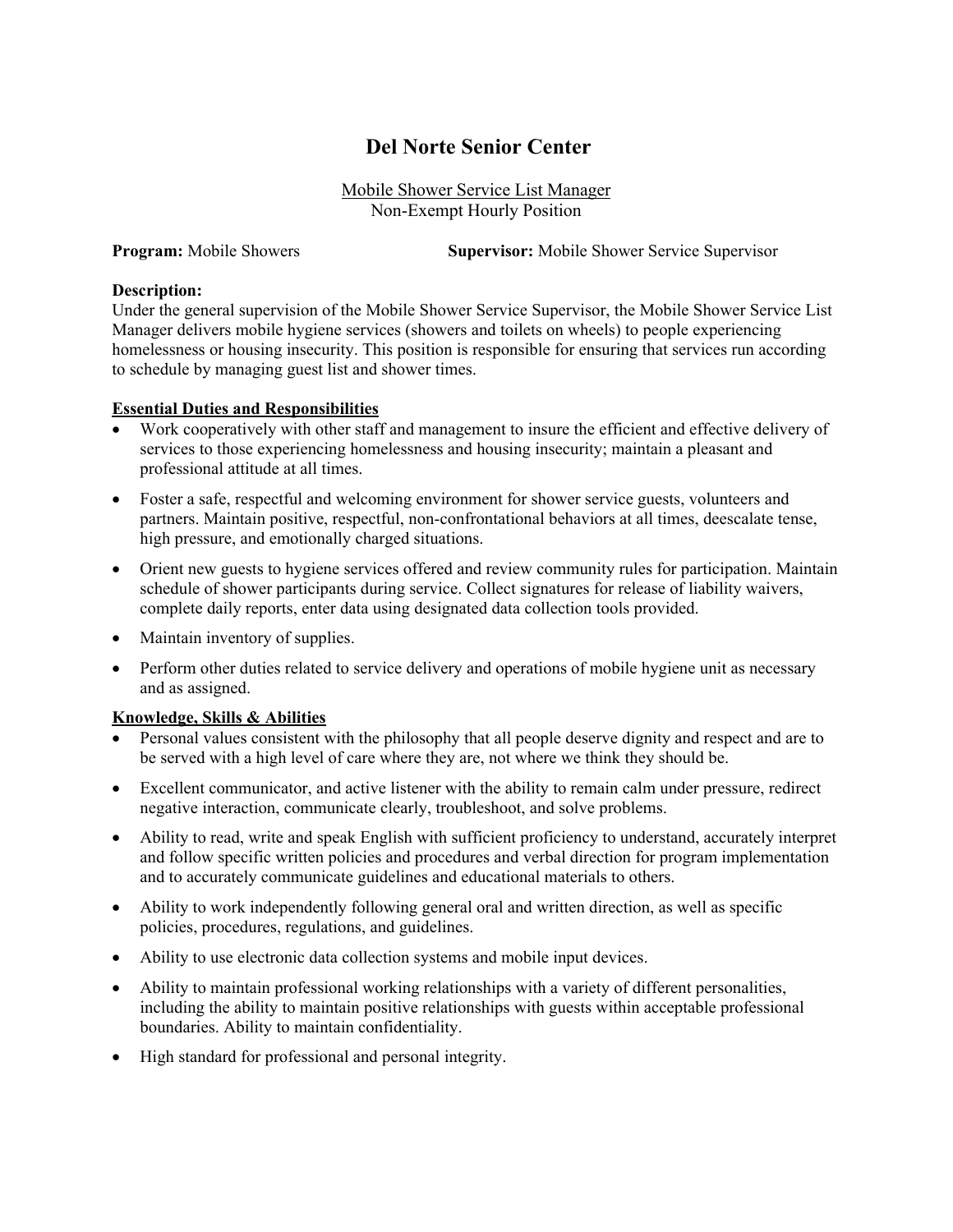# **Del Norte Senior Center**

Mobile Shower Service List Manager Non-Exempt Hourly Position

**Program:** Mobile Showers **Supervisor:** Mobile Shower Service Supervisor

#### **Description:**

Under the general supervision of the Mobile Shower Service Supervisor, the Mobile Shower Service List Manager delivers mobile hygiene services (showers and toilets on wheels) to people experiencing homelessness or housing insecurity. This position is responsible for ensuring that services run according to schedule by managing guest list and shower times.

#### **Essential Duties and Responsibilities**

- Work cooperatively with other staff and management to insure the efficient and effective delivery of services to those experiencing homelessness and housing insecurity; maintain a pleasant and professional attitude at all times.
- Foster a safe, respectful and welcoming environment for shower service guests, volunteers and partners. Maintain positive, respectful, non-confrontational behaviors at all times, deescalate tense, high pressure, and emotionally charged situations.
- Orient new guests to hygiene services offered and review community rules for participation. Maintain schedule of shower participants during service. Collect signatures for release of liability waivers, complete daily reports, enter data using designated data collection tools provided.
- Maintain inventory of supplies.
- Perform other duties related to service delivery and operations of mobile hygiene unit as necessary and as assigned.

# **Knowledge, Skills & Abilities**

- Personal values consistent with the philosophy that all people deserve dignity and respect and are to be served with a high level of care where they are, not where we think they should be.
- Excellent communicator, and active listener with the ability to remain calm under pressure, redirect negative interaction, communicate clearly, troubleshoot, and solve problems.
- Ability to read, write and speak English with sufficient proficiency to understand, accurately interpret and follow specific written policies and procedures and verbal direction for program implementation and to accurately communicate guidelines and educational materials to others.
- Ability to work independently following general oral and written direction, as well as specific policies, procedures, regulations, and guidelines.
- Ability to use electronic data collection systems and mobile input devices.
- Ability to maintain professional working relationships with a variety of different personalities, including the ability to maintain positive relationships with guests within acceptable professional boundaries. Ability to maintain confidentiality.
- High standard for professional and personal integrity.